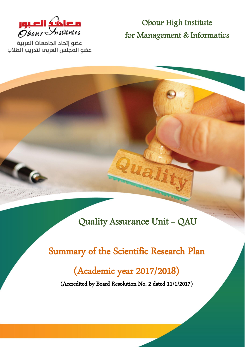

عضو إتحاد الجامعات العربية عضو المجلس العربم لتدريب الطلاب

Obour High Institute for Management & Informatics

Quality Assurance Unit - QAU

uali

 Summary of the Scientific Research Plan (Academic year 2017/2018)

(Accredited by Board Resolution No. 2 dated 11/1/2017)

**Summary of Scientific Research Plan 0**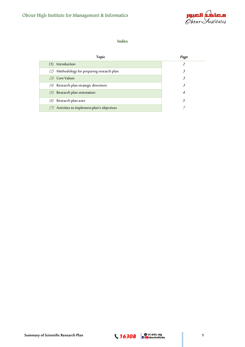

## **Index**

| <b>Topic</b>                                   | Page |
|------------------------------------------------|------|
| Introduction                                   |      |
| Methodology for preparing research plan<br>(2) | 3.   |
| (3) Core Values                                | 3.   |
| (4) Research plan strategic directions         | 3.   |
| $(5)$ Research plan orientation                | 4    |
| $(6)$ Research plan axes                       | 5    |
| Activities to implement plan's objectives      |      |

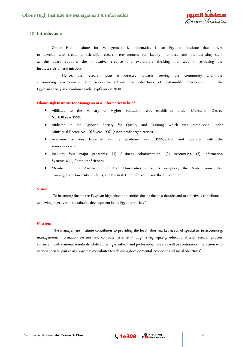

## **(1) Introduction:**

Obour High Institute for Management & Informatics is an Egyptian institute that strives to develop and create a scientific research environment for faculty members and the assisting staff, as the board supports the innovative, creative and exploratory thinking that aids in achieving the Institute's vision and mission.

 Hence, the research plan is directed towards serving the community and the surrounding environment, and seeks to achieve the objectives of sustainable development in the Egyptian society in accordance with Egypt's vision 2030.

#### **Obour High Institute for Management & Informatics in brief**

- Affiliated to the Ministry of Higher Education, was established under Ministerial Decree No. 638 year 1999.
- Affiliated to the Egyptian Society for Quality and Training, which was established under Ministerial Decree No. 1025 year 1997, (a non-profit organization).
- Academic activities launched in the academic year 1999/2000, and operates with the semesters system.
- Includes four major programs: (1) Business Administration, (2) Accounting, (3) Information Systems, & (4) Computer Sciences.
- Member in the Association of Arab Universities since its inception, the Arab Council for Training Arab University Students, and the Arab Union for Youth and the Environment.

#### **Vision:**

"To be among the top ten Egyptian high education entities during the next decade, and to effectively contribute in achieving objectives of sustainable development in the Egyptian society".

#### **Mission:**

"The management institute contributes to providing the local labor market needs of specialists in accounting, management, information systems and computer science, through a high-quality educational and research process consistent with national standards while adhering to ethical and professional rules, as well as continuous interaction with various societal parties in a way that contributes to achieving developmental, economic and social objectives " .

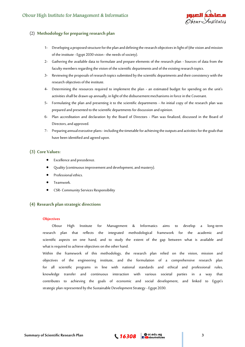

# (2) **Methodology for preparing research plan**

- 1- Developing a proposed structure for the plan and defining the research objectives in light of (the vision and mission of the institute -Egypt 2030 vision - the needs of society).
- 2- Gathering the available data to formulate and prepare elements of the research plan Sources of data from the faculty members regarding the vision of the scientific departments and of the existing research topics.
- 3- Reviewing the proposals of research topics submitted by the scientific departments and their consistency with the research objectives of the institute.
- 4- Determining the resources required to implement the plan an estimated budget for spending on the unit's activities shall be drawn up annually, in light of the disbursement mechanisms in force in the Covenant.
- 5- Formulating the plan and presenting it to the scientific departments An initial copy of the research plan was prepared and presented to the scientific departments for discussion and opinion.
- 6- Plan accreditation and declaration by the Board of Directors Plan was finalized, discussed in the Board of Directors, and approved.
- 7- Preparing annual executive plans- includingthe timetable for achieving the outputs and activities for the goals that have been identified and agreed upon.

## **(3) Core Values:**

- Excellence and precedence.
- Quality (continuous improvement and development, and mastery).
- Professional ethics.
- Teamwork.
- CSR- Community Services Responsibility

## **(4) Research plan strategic directions**

#### **Objectives**

Obour High Institute for Management & Informatics aims to develop a long-term research plan that reflects the integrated methodological framework for the academic and scientific aspects on one hand, and to study the extent of the gap between what is available and what is required to achieve objectives on the other hand.

Within the framework of this methodology, the research plan relied on the vision, mission and objectives of the engineering institute, and the formulation of a comprehensive research plan for all scientific programs in line with national standards and ethical and professional rules, knowledge transfer and continuous interaction with various societal parties in a way that contributes to achieving the goals of economic and social development, and linked to Egypt's strategic plan represented by the Sustainable Development Strategy - Egypt 2030.

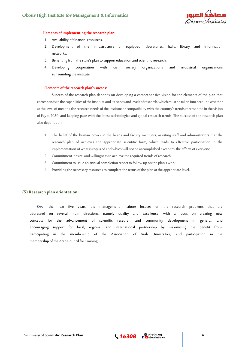

#### **Elements of implementing the research plan:**

- 1. Availability of financial resources.
- 2. Development of the infrastructure of equipped laboratories, halls, library and information networks.
- 3. Benefiting from the state's plan to support education and scientific research.
- 4. Developing cooperation with civil society organizations and industrial organizations surrounding the institute.

#### **Elements of the research plan's success:**

Success of the research plan depends on developing a comprehensive vision for the elements of the plan that corresponds to the capabilities of the institute and its needs and levels of research, which must be taken into account, whether at the level of meeting the research needs of the institute or compatibility with the country's trends represented in the vision of Egypt 2030, and keeping pace with the latest technologies and global research trends. The success of the research plan also depends on:

- 1. The belief of the human power in the heads and faculty members, assisting staff and administrators that the research plan of achieves the appropriate scientific form, which leads to effective participation in the implementation of what is required and which will not be accomplished except by the efforts of everyone.
- 2. Commitment, desire, and willingness to achieve the required trends of research.
- 3. Commitment to issue an annual completion report to follow up on the plan's work.
- 4. Providing the necessary resources to complete the terms of the plan at the appropriate level.

### **(5) Research plan orientation:**

Over the next five years, the management institute focuses on the research problems that are addressed on several main directions, namely quality and excellence, with a focus on creating new concepts for the advancement of scientific research and community development in general, and encouraging support for local, regional and international partnership by maximizing the benefit from; participating in the membership of the Association of Arab Universities, and participation in the membership of the Arab Council for Training

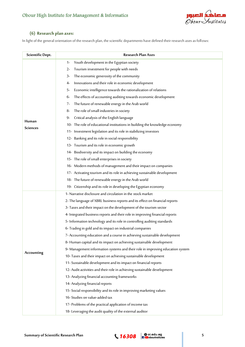

# **(6) Research plan axes:**

In light of the general orientation of the research plan, the scientific departments have defined their research axes as follows:

| Scientific Dept.  | <b>Research Plan Axes</b>                                                      |
|-------------------|--------------------------------------------------------------------------------|
|                   | Youth development in the Egyptian society<br>1-                                |
|                   | Tourism investment for people with needs<br>2-                                 |
|                   | The economic generosity of the community<br>3-                                 |
|                   | Innovations and their role in economic development<br>4-                       |
|                   | Economic intelligence towards the rationalization of relations<br>5-           |
|                   | The effects of accounting auditing towards economic development<br>6-          |
|                   | The future of renewable energy in the Arab world<br>7-                         |
|                   | The role of small industries in society<br>8-                                  |
|                   | Critical analysis of the English language<br>9-                                |
| Human<br>Sciences | 10- The role of educational institutions in building the knowledge economy     |
|                   | 11- Investment legislation and its role in stabilizing investors               |
|                   | 12- Banking and its role in social responsibility                              |
|                   | 13- Tourism and its role in economic growth                                    |
|                   | 14- Biodiversity and its impact on building the economy                        |
|                   | 15- The role of small enterprises in society                                   |
|                   | 16- Modern methods of management and their impact on companies                 |
|                   | 17- Activating tourism and its role in achieving sustainable development       |
|                   | 18- The future of renewable energy in the Arab world                           |
|                   | 19- Citizenship and its role in developing the Egyptian economy                |
|                   | 1- Narrative disclosure and circulation in the stock market                    |
|                   | 2- The language of XBRL business reports and its effect on financial reports   |
|                   | 3- Taxes and their impact on the development of the tourism sector             |
|                   | 4- Integrated business reports and their role in improving financial reports   |
|                   | 5- Information technology and its role in controlling auditing standards       |
|                   | 6- Trading in gold and its impact on industrial companies                      |
|                   | 7- Accounting education and a course in achieving sustainable development      |
|                   | 8- Human capital and its impact on achieving sustainable development           |
|                   | 9- Management information systems and their role in improving education system |
| Accounting        | 10- Taxes and their impact on achieving sustainable development                |
|                   | 11- Sustainable development and its impact on financial reports                |
|                   | 12- Audit activities and their role in achieving sustainable development       |
|                   | 13- Analyzing financial accounting frameworks                                  |
|                   | 14- Analyzing financial reports                                                |
|                   | 15- Social responsibility and its role in improving marketing values           |
|                   | 16- Studies on value-added tax                                                 |
|                   | 17- Problems of the practical application of income tax                        |
|                   | 18- Leveraging the audit quality of the external auditor                       |

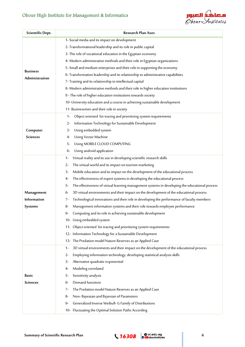# Obour High Institute for Management & Informatics



| Scientific Dept.                  | Research Plan Axes                                                                                   |
|-----------------------------------|------------------------------------------------------------------------------------------------------|
| <b>Business</b><br>Administration | 1- Social media and its impact on development                                                        |
|                                   | 2- Transformational leadership and its role in public capital                                        |
|                                   | 3- The role of vocational education in the Egyptian economy                                          |
|                                   | 4- Modern administrative methods and their role in Egyptian organizations                            |
|                                   | 5- Small and medium enterprises and their role in supporting the economy                             |
|                                   | 6- Transformation leadership and its relationship to administrative capabilities                     |
|                                   | 7- Training and its relationship to intellectual capital                                             |
|                                   | 8- Modern administrative methods and their role in higher education institutions                     |
|                                   | 9 - The role of higher education institutions towards society                                        |
|                                   | 10- University education and a course in achieving sustainable development                           |
|                                   | 11- Businessmen and their role in society                                                            |
|                                   | Object oriented for tracing and prioritizing system requirements<br>1-                               |
|                                   | Information Technology for Sustainable Development<br>2-                                             |
| Computer                          | Using embedded system<br>3-                                                                          |
| <b>Sciences</b>                   | Using Vector Machine<br>4-                                                                           |
|                                   | Using MOBILE CLOUD COMPUTING<br>5-                                                                   |
|                                   | Using android application<br>6-                                                                      |
|                                   | Virtual reality and its use in developing scientific research skills<br>1-                           |
|                                   | The virtual world and its impact on tourism marketing<br>$2 -$                                       |
|                                   | Mobile education and its impact on the development of the educational process<br>3-                  |
|                                   | The effectiveness of expert systems in developing the educational process<br>4-                      |
|                                   | The effectiveness of virtual learning management systems in developing the educational process<br>5- |
| Management                        | 3D virtual environments and their impact on the development of the educational process<br>6-         |
| <b>Information</b>                | Technological innovations and their role in developing the performance of faculty members<br>7-      |
| Systems                           | Management information systems and their role towards employee performance<br>8-                     |
|                                   | $Q_{-}$<br>Computing and its role in achieving sustainable development                               |
|                                   | 10- Using embedded system                                                                            |
|                                   | 11- Object oriented for tracing and prioritizing system requirements                                 |
|                                   | 12- Information Technology for a Sustainable Development                                             |
|                                   | 13- The Predation model Nature Reserves as an Applied Case                                           |
|                                   | 3D virtual environments and their impact on the development of the educational process<br>$1 -$      |
|                                   | Employing information technology, developing statistical analysis skills<br>$2 -$                    |
|                                   | Alternative quadratic exponential<br>3-                                                              |
|                                   | Modeling correlated<br>4-                                                                            |
| Basic                             | Sensitivity analysis<br>5-                                                                           |
| <b>Sciences</b>                   | Demand functions<br>6-                                                                               |
|                                   | The Predation model Nature Reserves as an Applied Case<br>7-                                         |
|                                   | Non-Bayeaian and Bayesian of Parameters<br>8-                                                        |
|                                   | Generalized Inverse Weibull- G Family of Distributions<br>9-                                         |
|                                   | 10- Fluctuating the Optimal Solution Paths According                                                 |